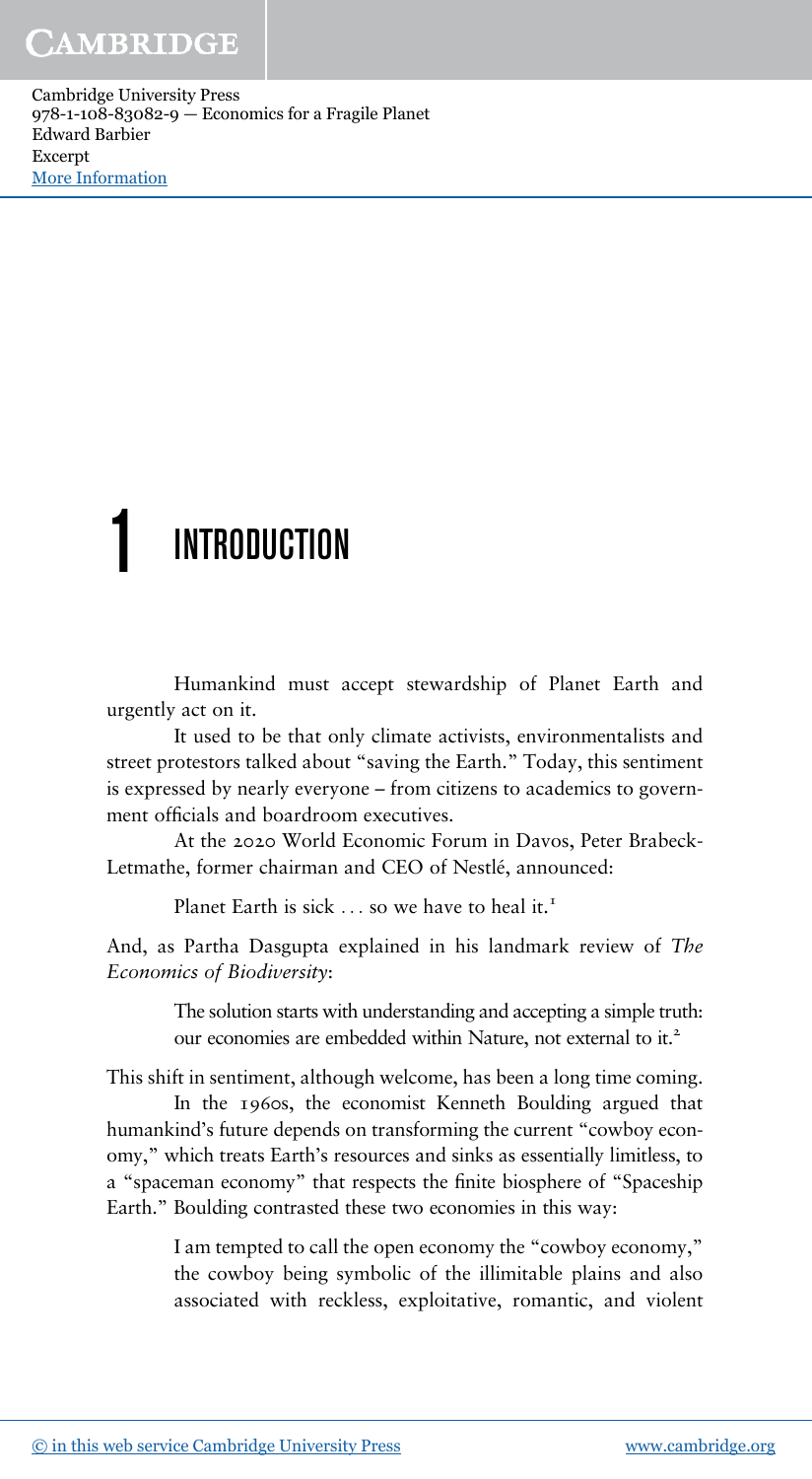# CAMBRIDGE

Cambridge University Press 978-1-108-83082-9 — Economics for a Fragile Planet Edward Barbier Excerpt [More Information](www.cambridge.org/9781108830829)

# **INTRODUCTION**

Humankind must accept stewardship of Planet Earth and urgently act on it.

It used to be that only climate activists, environmentalists and street protestors talked about "saving the Earth." Today, this sentiment is expressed by nearly everyone – from citizens to academics to government officials and boardroom executives.

At the 2020 World Economic Forum in Davos, Peter Brabeck-Letmathe, former chairman and CEO of Nestlé, announced:

Planet Earth is sick  $\ldots$  so we have to heal it.<sup>1</sup>

And, as Partha Dasgupta explained in his landmark review of *The Economics of Biodiversity*:

> The solution starts with understanding and accepting a simple truth: our economies are embedded within Nature, not external to it.<sup>2</sup>

This shift in sentiment, although welcome, has been a long time coming.

In the 1960s, the economist Kenneth Boulding argued that humankind's future depends on transforming the current "cowboy economy," which treats Earth's resources and sinks as essentially limitless, to a "spaceman economy" that respects the finite biosphere of "Spaceship Earth." Boulding contrasted these two economies in this way:

> I am tempted to call the open economy the "cowboy economy," the cowboy being symbolic of the illimitable plains and also associated with reckless, exploitative, romantic, and violent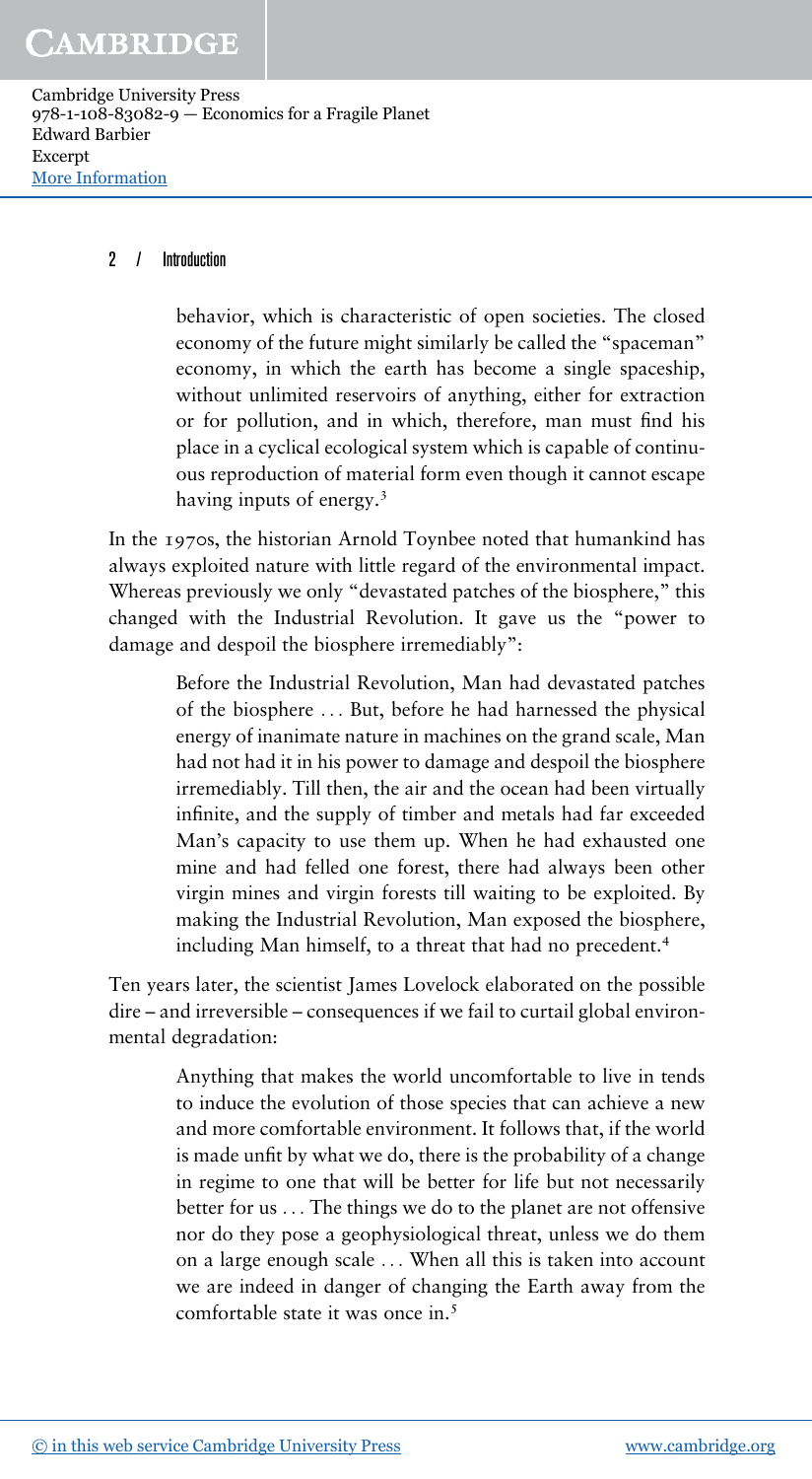# CAMBRIDGE

Cambridge University Press 978-1-108-83082-9 — Economics for a Fragile Planet Edward Barbier Excerpt [More Information](www.cambridge.org/9781108830829)

#### 2 / Introduction

behavior, which is characteristic of open societies. The closed economy of the future might similarly be called the "spaceman" economy, in which the earth has become a single spaceship, without unlimited reservoirs of anything, either for extraction or for pollution, and in which, therefore, man must find his place in a cyclical ecological system which is capable of continuous reproduction of material form even though it cannot escape having inputs of energy.<sup>3</sup>

In the 1970s, the historian Arnold Toynbee noted that humankind has always exploited nature with little regard of the environmental impact. Whereas previously we only "devastated patches of the biosphere," this changed with the Industrial Revolution. It gave us the "power to damage and despoil the biosphere irremediably":

> Before the Industrial Revolution, Man had devastated patches of the biosphere ... But, before he had harnessed the physical energy of inanimate nature in machines on the grand scale, Man had not had it in his power to damage and despoil the biosphere irremediably. Till then, the air and the ocean had been virtually infinite, and the supply of timber and metals had far exceeded Man's capacity to use them up. When he had exhausted one mine and had felled one forest, there had always been other virgin mines and virgin forests till waiting to be exploited. By making the Industrial Revolution, Man exposed the biosphere, including Man himself, to a threat that had no precedent.<sup>4</sup>

Ten years later, the scientist James Lovelock elaborated on the possible dire – and irreversible – consequences if we fail to curtail global environmental degradation:

> Anything that makes the world uncomfortable to live in tends to induce the evolution of those species that can achieve a new and more comfortable environment. It follows that, if the world is made unfit by what we do, there is the probability of a change in regime to one that will be better for life but not necessarily better for us ... The things we do to the planet are not offensive nor do they pose a geophysiological threat, unless we do them on a large enough scale ... When all this is taken into account we are indeed in danger of changing the Earth away from the comfortable state it was once in.<sup>5</sup>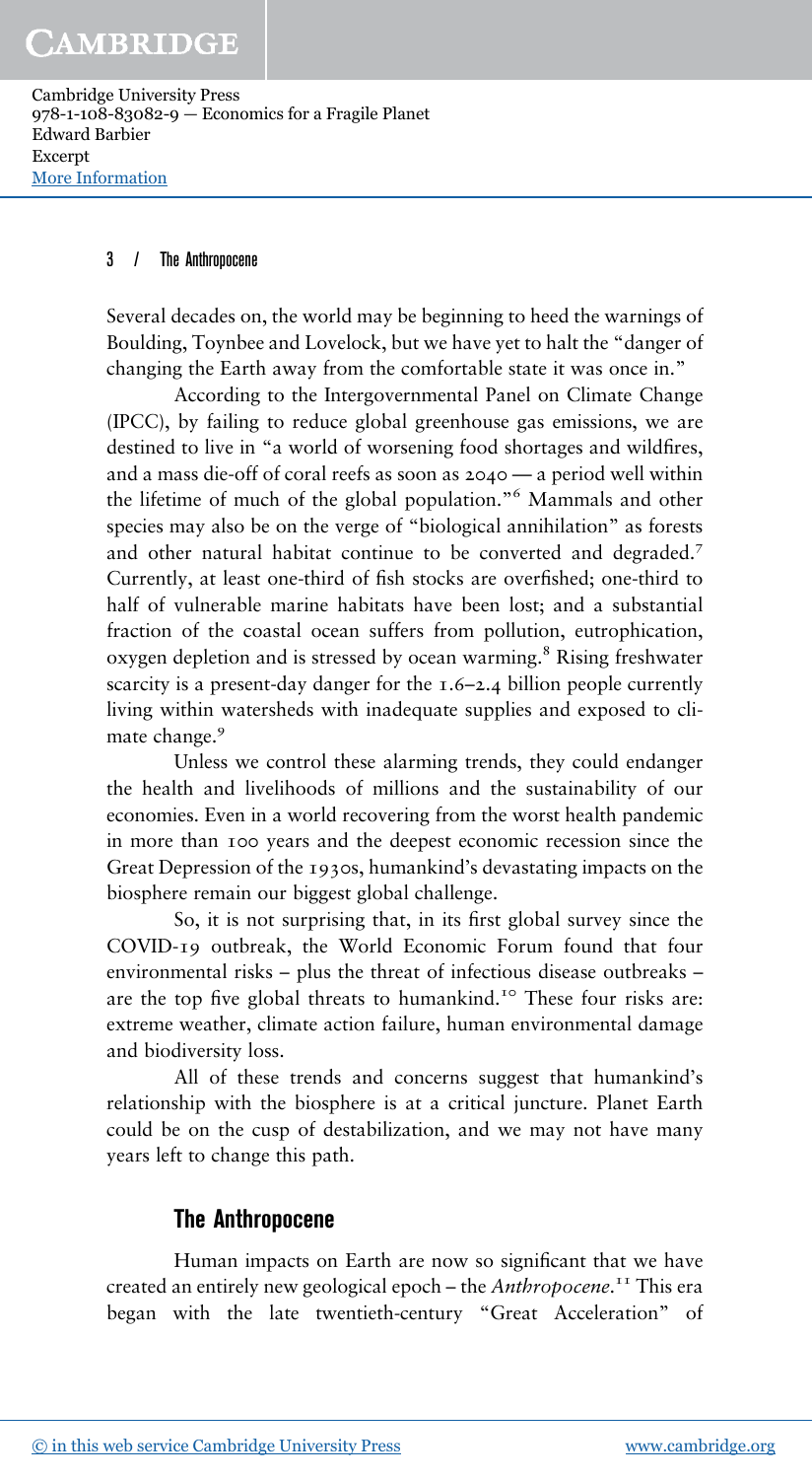## CAMBRIDGE

Cambridge University Press 978-1-108-83082-9 — Economics for a Fragile Planet Edward Barbier Excerpt [More Information](www.cambridge.org/9781108830829)

#### 3 / The Anthropocene

Several decades on, the world may be beginning to heed the warnings of Boulding, Toynbee and Lovelock, but we have yet to halt the "danger of changing the Earth away from the comfortable state it was once in."

According to the Intergovernmental Panel on Climate Change (IPCC), by failing to reduce global greenhouse gas emissions, we are destined to live in "a world of worsening food shortages and wildfires, and a mass die-off of coral reefs as soon as 2040 — a period well within the lifetime of much of the global population." <sup>6</sup> Mammals and other species may also be on the verge of "biological annihilation" as forests and other natural habitat continue to be converted and degraded.<sup>7</sup> Currently, at least one-third of fish stocks are overfished; one-third to half of vulnerable marine habitats have been lost; and a substantial fraction of the coastal ocean suffers from pollution, eutrophication, oxygen depletion and is stressed by ocean warming.<sup>8</sup> Rising freshwater scarcity is a present-day danger for the 1.6–2.4 billion people currently living within watersheds with inadequate supplies and exposed to climate change.<sup>9</sup>

Unless we control these alarming trends, they could endanger the health and livelihoods of millions and the sustainability of our economies. Even in a world recovering from the worst health pandemic in more than 100 years and the deepest economic recession since the Great Depression of the 1930s, humankind's devastating impacts on the biosphere remain our biggest global challenge.

So, it is not surprising that, in its first global survey since the COVID-19 outbreak, the World Economic Forum found that four environmental risks – plus the threat of infectious disease outbreaks – are the top five global threats to humankind.<sup>10</sup> These four risks are: extreme weather, climate action failure, human environmental damage and biodiversity loss.

All of these trends and concerns suggest that humankind's relationship with the biosphere is at a critical juncture. Planet Earth could be on the cusp of destabilization, and we may not have many years left to change this path.

## **The Anthropocene**

Human impacts on Earth are now so significant that we have created an entirely new geological epoch – the *Anthropocene*. <sup>11</sup> This era began with the late twentieth-century "Great Acceleration" of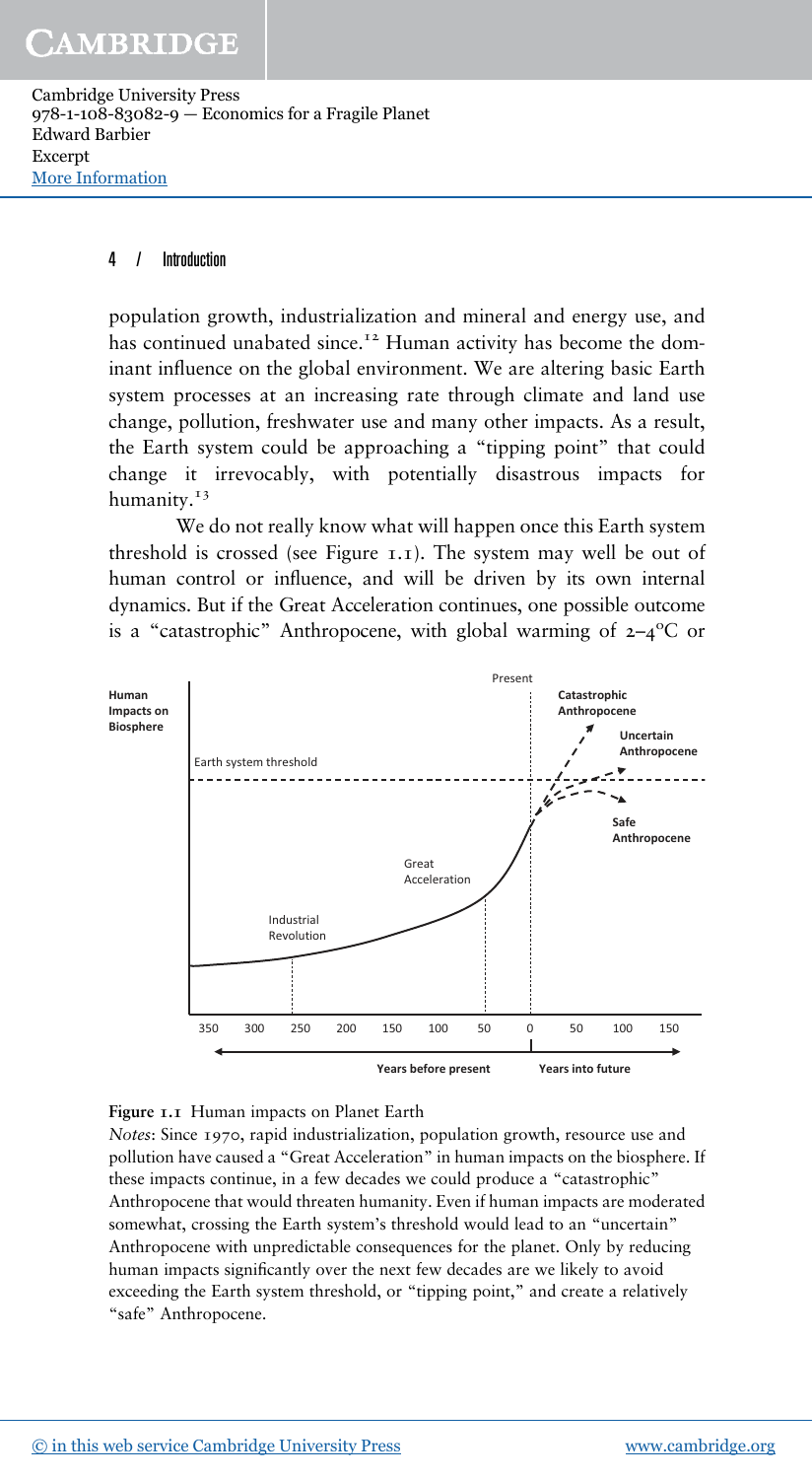#### 4 / Introduction

population growth, industrialization and mineral and energy use, and has continued unabated since.<sup>12</sup> Human activity has become the dominant influence on the global environment. We are altering basic Earth system processes at an increasing rate through climate and land use change, pollution, freshwater use and many other impacts. As a result, the Earth system could be approaching a "tipping point" that could change it irrevocably, with potentially disastrous impacts for humanity.<sup>13</sup>

We do not really know what will happen once this Earth system threshold is crossed (see Figure 1.1). The system may well be out of human control or influence, and will be driven by its own internal dynamics. But if the Great Acceleration continues, one possible outcome is a "catastrophic" Anthropocene, with global warming of  $2-4$ <sup>o</sup>C or



**Figure 1.1** Human impacts on Planet Earth

*Notes*: Since 1970, rapid industrialization, population growth, resource use and pollution have caused a "Great Acceleration" in human impacts on the biosphere. If these impacts continue, in a few decades we could produce a "catastrophic" Anthropocene that would threaten humanity. Even if human impacts are moderated somewhat, crossing the Earth system's threshold would lead to an "uncertain" Anthropocene with unpredictable consequences for the planet. Only by reducing human impacts significantly over the next few decades are we likely to avoid exceeding the Earth system threshold, or "tipping point," and create a relatively "safe" Anthropocene.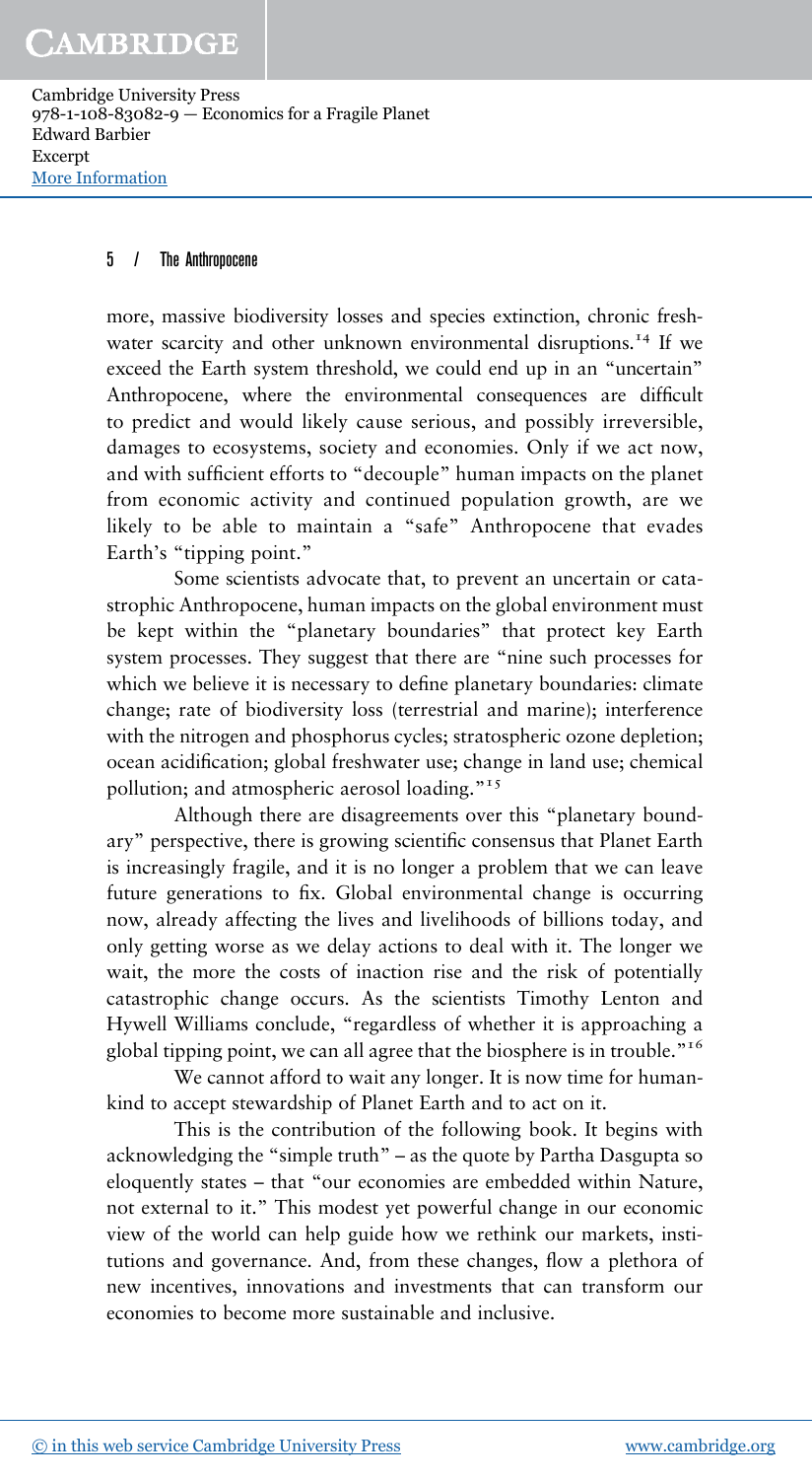#### 5 / The Anthropocene

more, massive biodiversity losses and species extinction, chronic freshwater scarcity and other unknown environmental disruptions.<sup>14</sup> If we exceed the Earth system threshold, we could end up in an "uncertain" Anthropocene, where the environmental consequences are difficult to predict and would likely cause serious, and possibly irreversible, damages to ecosystems, society and economies. Only if we act now, and with sufficient efforts to "decouple" human impacts on the planet from economic activity and continued population growth, are we likely to be able to maintain a "safe" Anthropocene that evades Earth's "tipping point."

Some scientists advocate that, to prevent an uncertain or catastrophic Anthropocene, human impacts on the global environment must be kept within the "planetary boundaries" that protect key Earth system processes. They suggest that there are "nine such processes for which we believe it is necessary to define planetary boundaries: climate change; rate of biodiversity loss (terrestrial and marine); interference with the nitrogen and phosphorus cycles; stratospheric ozone depletion; ocean acidification; global freshwater use; change in land use; chemical pollution; and atmospheric aerosol loading."<sup>15</sup>

Although there are disagreements over this "planetary boundary" perspective, there is growing scientific consensus that Planet Earth is increasingly fragile, and it is no longer a problem that we can leave future generations to fix. Global environmental change is occurring now, already affecting the lives and livelihoods of billions today, and only getting worse as we delay actions to deal with it. The longer we wait, the more the costs of inaction rise and the risk of potentially catastrophic change occurs. As the scientists Timothy Lenton and Hywell Williams conclude, "regardless of whether it is approaching a global tipping point, we can all agree that the biosphere is in trouble."<sup>16</sup>

We cannot afford to wait any longer. It is now time for humankind to accept stewardship of Planet Earth and to act on it.

This is the contribution of the following book. It begins with acknowledging the "simple truth" – as the quote by Partha Dasgupta so eloquently states – that "our economies are embedded within Nature, not external to it." This modest yet powerful change in our economic view of the world can help guide how we rethink our markets, institutions and governance. And, from these changes, flow a plethora of new incentives, innovations and investments that can transform our economies to become more sustainable and inclusive.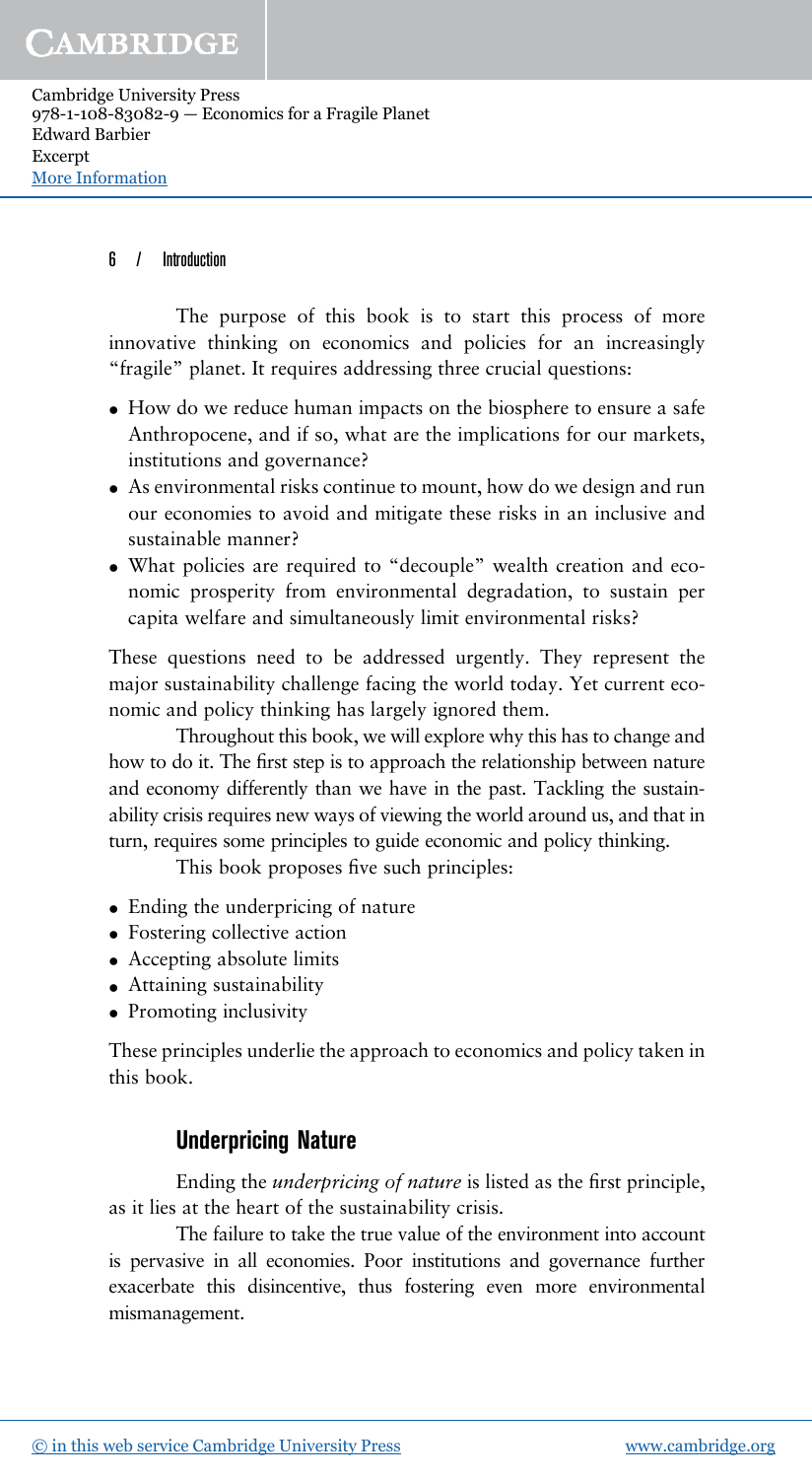#### 6 / Introduction

The purpose of this book is to start this process of more innovative thinking on economics and policies for an increasingly "fragile" planet. It requires addressing three crucial questions:

- How do we reduce human impacts on the biosphere to ensure a safe Anthropocene, and if so, what are the implications for our markets, institutions and governance?
- As environmental risks continue to mount, how do we design and run our economies to avoid and mitigate these risks in an inclusive and sustainable manner?
- What policies are required to "decouple" wealth creation and economic prosperity from environmental degradation, to sustain per capita welfare and simultaneously limit environmental risks?

These questions need to be addressed urgently. They represent the major sustainability challenge facing the world today. Yet current economic and policy thinking has largely ignored them.

Throughout this book, we will explore why this has to change and how to do it. The first step is to approach the relationship between nature and economy differently than we have in the past. Tackling the sustainability crisis requires new ways of viewing the world around us, and that in turn, requires some principles to guide economic and policy thinking.

This book proposes five such principles:

- Ending the underpricing of nature
- Fostering collective action
- Accepting absolute limits
- Attaining sustainability
- Promoting inclusivity

These principles underlie the approach to economics and policy taken in this book.

## **Underpricing Nature**

Ending the *underpricing of nature* is listed as the first principle, as it lies at the heart of the sustainability crisis.

The failure to take the true value of the environment into account is pervasive in all economies. Poor institutions and governance further exacerbate this disincentive, thus fostering even more environmental mismanagement.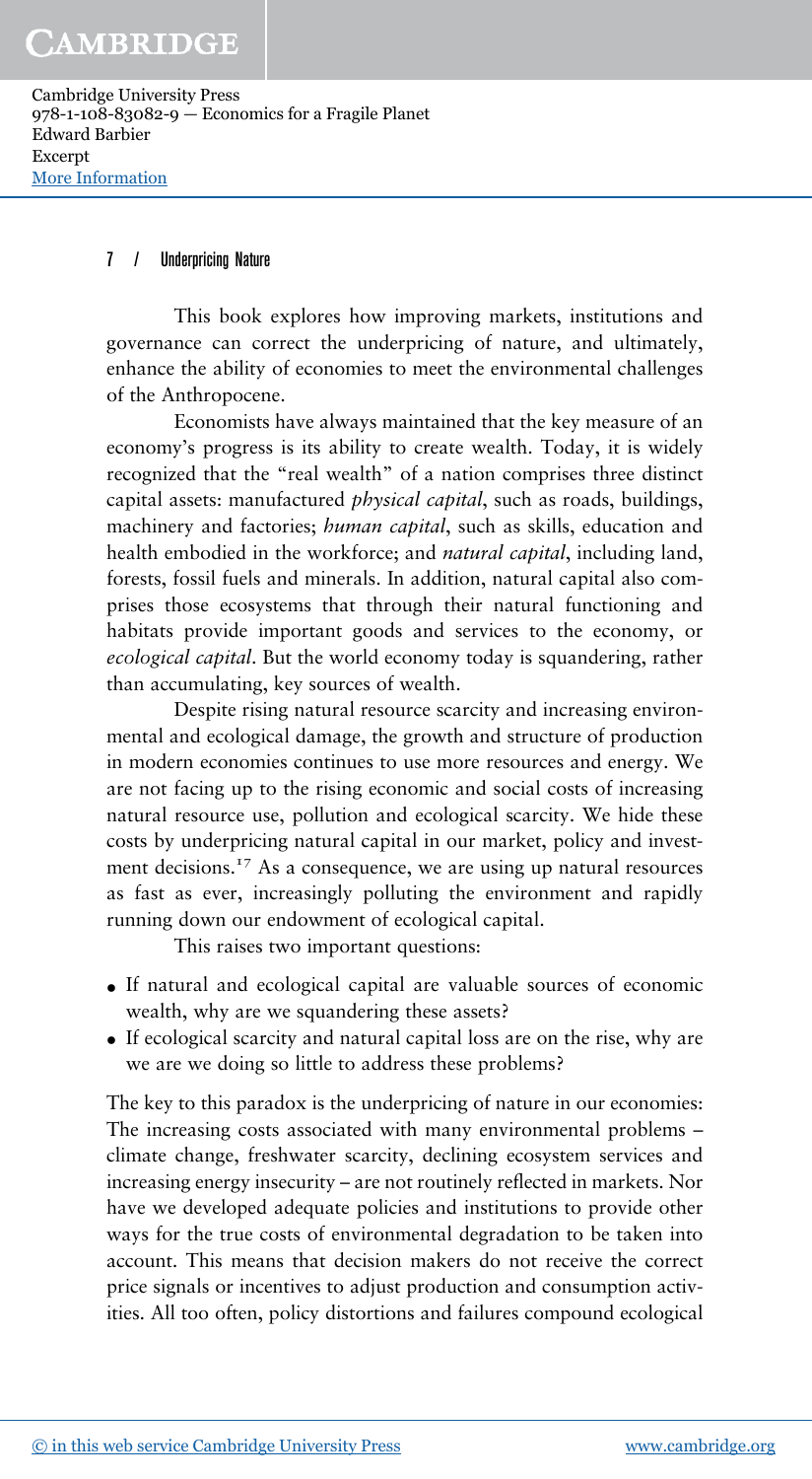#### 7 / Underpricing Nature

This book explores how improving markets, institutions and governance can correct the underpricing of nature, and ultimately, enhance the ability of economies to meet the environmental challenges of the Anthropocene.

Economists have always maintained that the key measure of an economy's progress is its ability to create wealth. Today, it is widely recognized that the "real wealth" of a nation comprises three distinct capital assets: manufactured *physical capital*, such as roads, buildings, machinery and factories; *human capital*, such as skills, education and health embodied in the workforce; and *natural capital*, including land, forests, fossil fuels and minerals. In addition, natural capital also comprises those ecosystems that through their natural functioning and habitats provide important goods and services to the economy, or *ecological capital*. But the world economy today is squandering, rather than accumulating, key sources of wealth.

Despite rising natural resource scarcity and increasing environmental and ecological damage, the growth and structure of production in modern economies continues to use more resources and energy. We are not facing up to the rising economic and social costs of increasing natural resource use, pollution and ecological scarcity. We hide these costs by underpricing natural capital in our market, policy and investment decisions.<sup>17</sup> As a consequence, we are using up natural resources as fast as ever, increasingly polluting the environment and rapidly running down our endowment of ecological capital.

This raises two important questions:

- If natural and ecological capital are valuable sources of economic wealth, why are we squandering these assets?
- If ecological scarcity and natural capital loss are on the rise, why are we are we doing so little to address these problems?

The key to this paradox is the underpricing of nature in our economies: The increasing costs associated with many environmental problems – climate change, freshwater scarcity, declining ecosystem services and increasing energy insecurity – are not routinely reflected in markets. Nor have we developed adequate policies and institutions to provide other ways for the true costs of environmental degradation to be taken into account. This means that decision makers do not receive the correct price signals or incentives to adjust production and consumption activities. All too often, policy distortions and failures compound ecological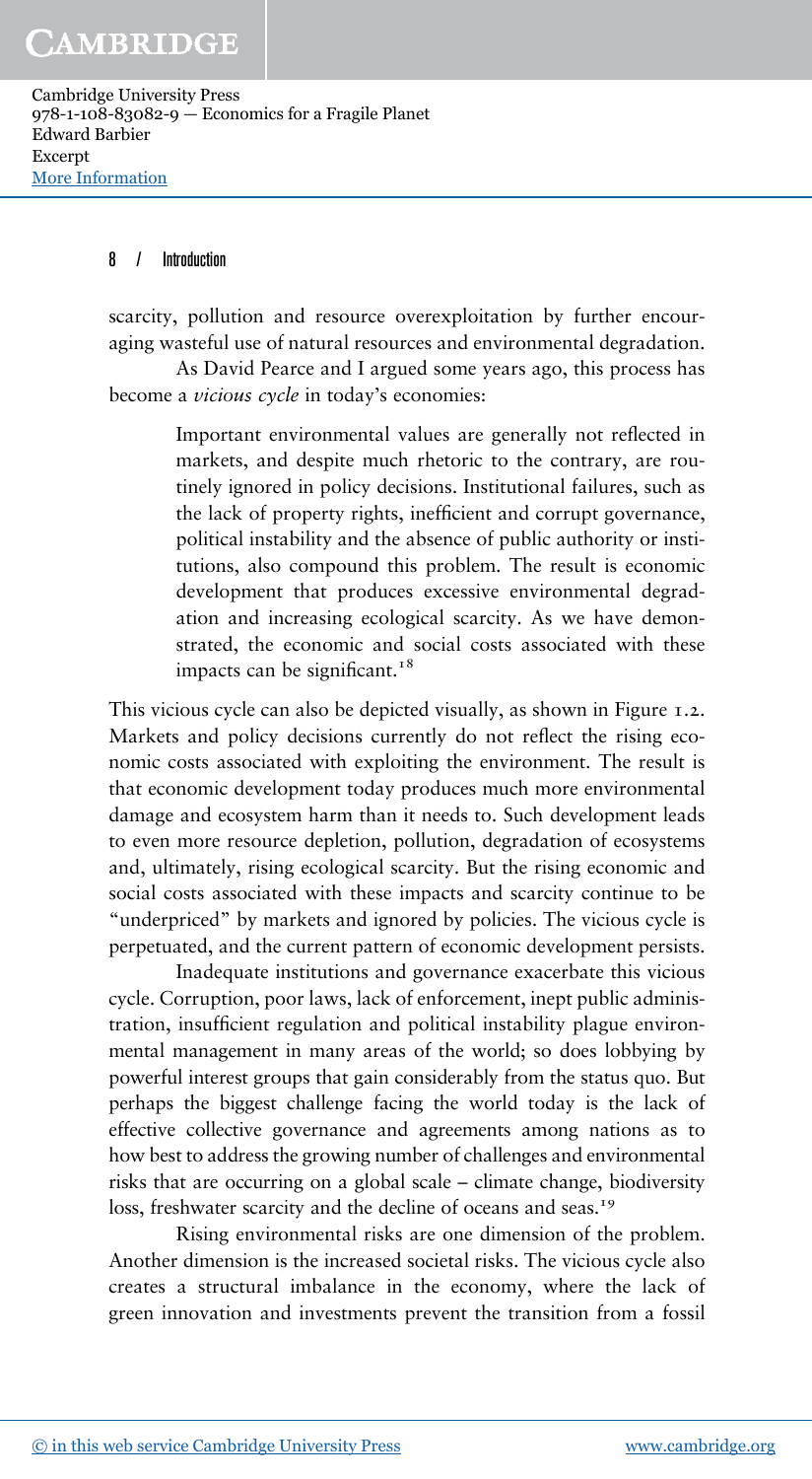#### 8 / Introduction

scarcity, pollution and resource overexploitation by further encouraging wasteful use of natural resources and environmental degradation.

As David Pearce and I argued some years ago, this process has become a *vicious cycle* in today's economies:

> Important environmental values are generally not reflected in markets, and despite much rhetoric to the contrary, are routinely ignored in policy decisions. Institutional failures, such as the lack of property rights, inefficient and corrupt governance, political instability and the absence of public authority or institutions, also compound this problem. The result is economic development that produces excessive environmental degradation and increasing ecological scarcity. As we have demonstrated, the economic and social costs associated with these impacts can be significant.<sup>18</sup>

This vicious cycle can also be depicted visually, as shown in Figure 1.2. Markets and policy decisions currently do not reflect the rising economic costs associated with exploiting the environment. The result is that economic development today produces much more environmental damage and ecosystem harm than it needs to. Such development leads to even more resource depletion, pollution, degradation of ecosystems and, ultimately, rising ecological scarcity. But the rising economic and social costs associated with these impacts and scarcity continue to be "underpriced" by markets and ignored by policies. The vicious cycle is perpetuated, and the current pattern of economic development persists.

Inadequate institutions and governance exacerbate this vicious cycle. Corruption, poor laws, lack of enforcement, inept public administration, insufficient regulation and political instability plague environmental management in many areas of the world; so does lobbying by powerful interest groups that gain considerably from the status quo. But perhaps the biggest challenge facing the world today is the lack of effective collective governance and agreements among nations as to how best to address the growing number of challenges and environmental risks that are occurring on a global scale – climate change, biodiversity loss, freshwater scarcity and the decline of oceans and seas.<sup>19</sup>

Rising environmental risks are one dimension of the problem. Another dimension is the increased societal risks. The vicious cycle also creates a structural imbalance in the economy, where the lack of green innovation and investments prevent the transition from a fossil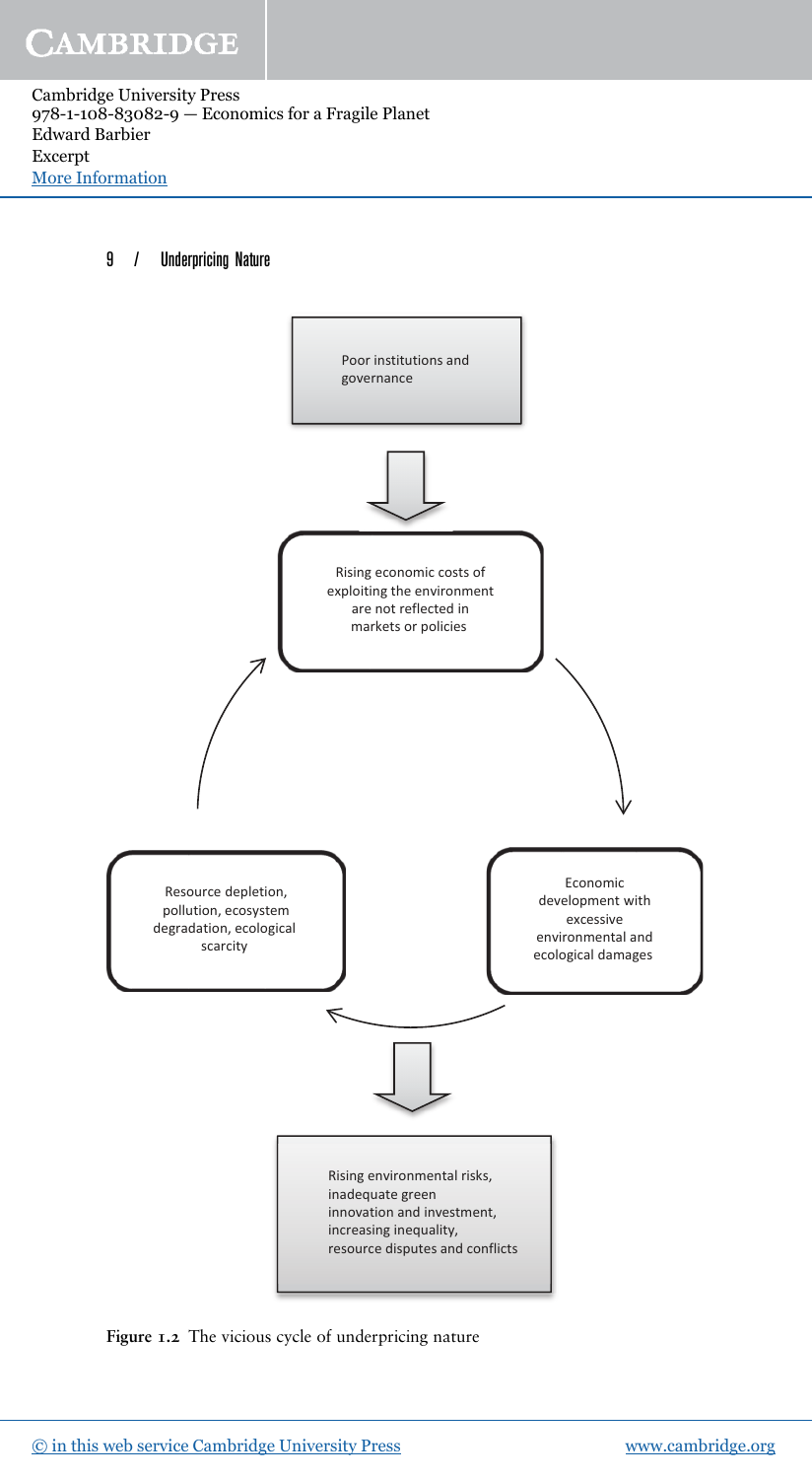#### 9 / Underpricing Nature



**Figure 1.2** The vicious cycle of underpricing nature